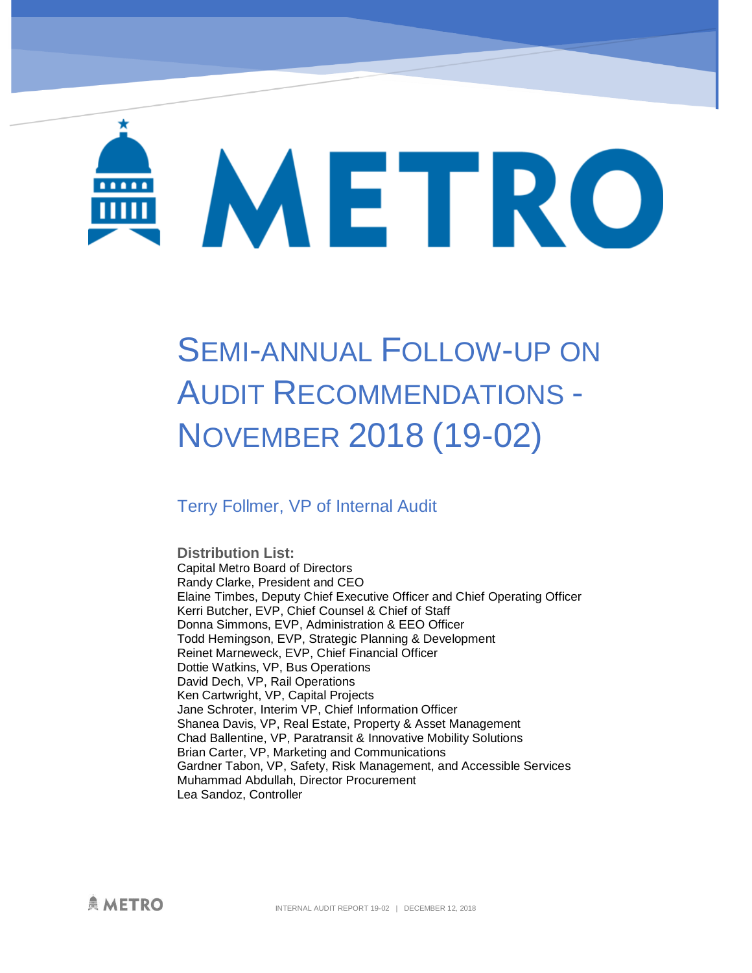# METRO

# SEMI-ANNUAL FOLLOW-UP ON AUDIT RECOMMENDATIONS - NOVEMBER 2018 (19-02)

### Terry Follmer, VP of Internal Audit

**Distribution List:**  Capital Metro Board of Directors Randy Clarke, President and CEO Elaine Timbes, Deputy Chief Executive Officer and Chief Operating Officer Kerri Butcher, EVP, Chief Counsel & Chief of Staff Donna Simmons, EVP, Administration & EEO Officer Todd Hemingson, EVP, Strategic Planning & Development Reinet Marneweck, EVP, Chief Financial Officer Dottie Watkins, VP, Bus Operations David Dech, VP, Rail Operations Ken Cartwright, VP, Capital Projects Jane Schroter, Interim VP, Chief Information Officer Shanea Davis, VP, Real Estate, Property & Asset Management Chad Ballentine, VP, Paratransit & Innovative Mobility Solutions Brian Carter, VP, Marketing and Communications Gardner Tabon, VP, Safety, Risk Management, and Accessible Services Muhammad Abdullah, Director Procurement Lea Sandoz, Controller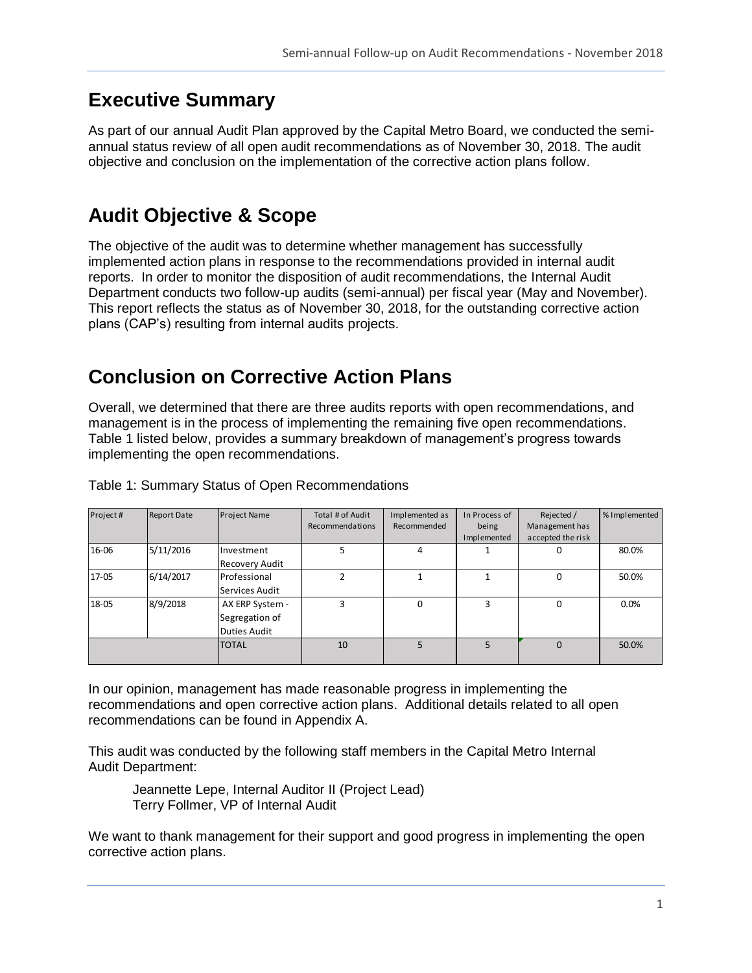# **Executive Summary**

As part of our annual Audit Plan approved by the Capital Metro Board, we conducted the semiannual status review of all open audit recommendations as of November 30, 2018. The audit objective and conclusion on the implementation of the corrective action plans follow.

# **Audit Objective & Scope**

The objective of the audit was to determine whether management has successfully implemented action plans in response to the recommendations provided in internal audit reports. In order to monitor the disposition of audit recommendations, the Internal Audit Department conducts two follow-up audits (semi-annual) per fiscal year (May and November). This report reflects the status as of November 30, 2018, for the outstanding corrective action plans (CAP's) resulting from internal audits projects.

# **Conclusion on Corrective Action Plans**

Overall, we determined that there are three audits reports with open recommendations, and management is in the process of implementing the remaining five open recommendations. Table 1 listed below, provides a summary breakdown of management's progress towards implementing the open recommendations.

| Project# | <b>Report Date</b> | <b>Project Name</b>   | Total # of Audit | Implemented as | In Process of | Rejected /        | % Implemented |
|----------|--------------------|-----------------------|------------------|----------------|---------------|-------------------|---------------|
|          |                    |                       | Recommendations  | Recommended    | being         | Management has    |               |
|          |                    |                       |                  |                | Implemented   | accepted the risk |               |
| 16-06    | 5/11/2016          | Investment            |                  |                |               |                   | 80.0%         |
|          |                    | <b>Recovery Audit</b> |                  |                |               |                   |               |
| 17-05    | 6/14/2017          | Professional          | ำ                |                |               | 0                 | 50.0%         |
|          |                    | Services Audit        |                  |                |               |                   |               |
| 18-05    | 8/9/2018           | AX ERP System -       | 3                | 0              | 3             | 0                 | 0.0%          |
|          |                    | Segregation of        |                  |                |               |                   |               |
|          |                    | Duties Audit          |                  |                |               |                   |               |
|          |                    | <b>TOTAL</b>          | 10               |                |               | $\Omega$          | 50.0%         |
|          |                    |                       |                  |                |               |                   |               |

Table 1: Summary Status of Open Recommendations

In our opinion, management has made reasonable progress in implementing the recommendations and open corrective action plans. Additional details related to all open recommendations can be found in Appendix A.

This audit was conducted by the following staff members in the Capital Metro Internal Audit Department:

Jeannette Lepe, Internal Auditor II (Project Lead) Terry Follmer, VP of Internal Audit

We want to thank management for their support and good progress in implementing the open corrective action plans.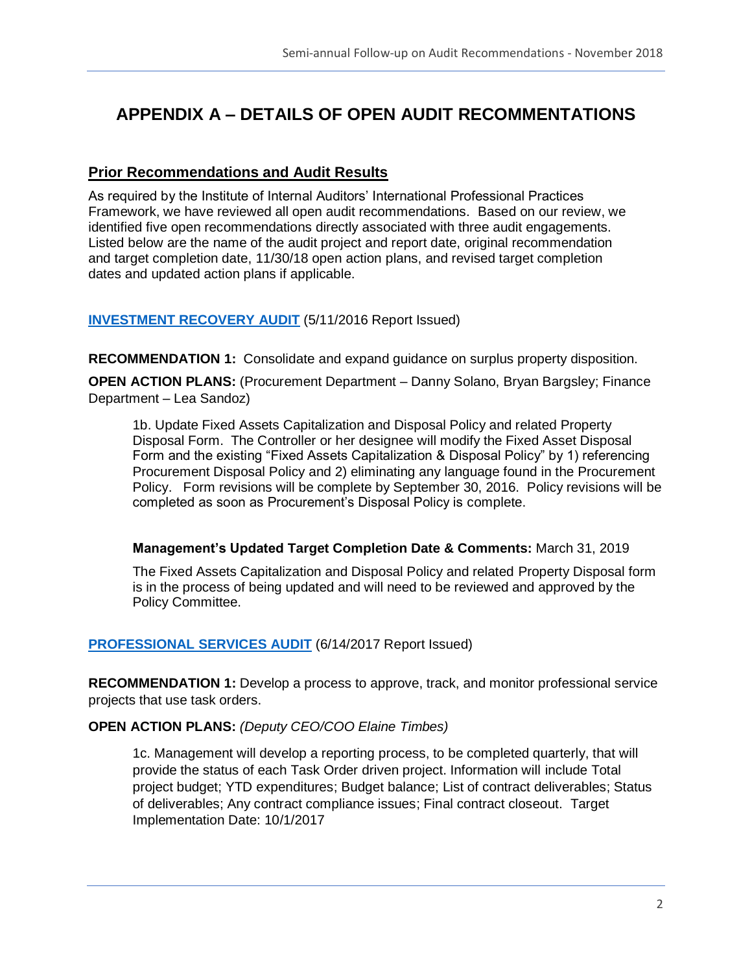## **APPENDIX A – DETAILS OF OPEN AUDIT RECOMMENTATIONS**

#### **Prior Recommendations and Audit Results**

As required by the Institute of Internal Auditors' International Professional Practices Framework, we have reviewed all open audit recommendations. Based on our review, we identified five open recommendations directly associated with three audit engagements. Listed below are the name of the audit project and report date, original recommendation and target completion date, 11/30/18 open action plans, and revised target completion dates and updated action plans if applicable.

#### **[INVESTMENT RECOVERY AUDIT](https://www.capmetro.org/uploadedFiles/New2016/About_Capital_Metro/Financial_Transparency/Audit_Dcouments/Investment%20Recovery%20Report%2016-06%20Executive%20Summary.pdf)** (5/11/2016 Report Issued)

**RECOMMENDATION 1:** Consolidate and expand guidance on surplus property disposition.

**OPEN ACTION PLANS:** (Procurement Department – Danny Solano, Bryan Bargsley; Finance Department – Lea Sandoz)

1b. Update Fixed Assets Capitalization and Disposal Policy and related Property Disposal Form. The Controller or her designee will modify the Fixed Asset Disposal Form and the existing "Fixed Assets Capitalization & Disposal Policy" by 1) referencing Procurement Disposal Policy and 2) eliminating any language found in the Procurement Policy. Form revisions will be complete by September 30, 2016. Policy revisions will be completed as soon as Procurement's Disposal Policy is complete.

#### **Management's Updated Target Completion Date & Comments:** March 31, 2019

The Fixed Assets Capitalization and Disposal Policy and related Property Disposal form is in the process of being updated and will need to be reviewed and approved by the Policy Committee.

#### **[PROFESSIONAL SERVICES AUDIT](https://www.capmetro.org/uploadedFiles/New2016/About_Capital_Metro/Financial_Transparency/Audit_Dcouments/17-05-Professional-Services-Contracting-Exec-Summary.pdf)** (6/14/2017 Report Issued)

**RECOMMENDATION 1:** Develop a process to approve, track, and monitor professional service projects that use task orders.

#### **OPEN ACTION PLANS:** *(Deputy CEO/COO Elaine Timbes)*

1c. Management will develop a reporting process, to be completed quarterly, that will provide the status of each Task Order driven project. Information will include Total project budget; YTD expenditures; Budget balance; List of contract deliverables; Status of deliverables; Any contract compliance issues; Final contract closeout. Target Implementation Date: 10/1/2017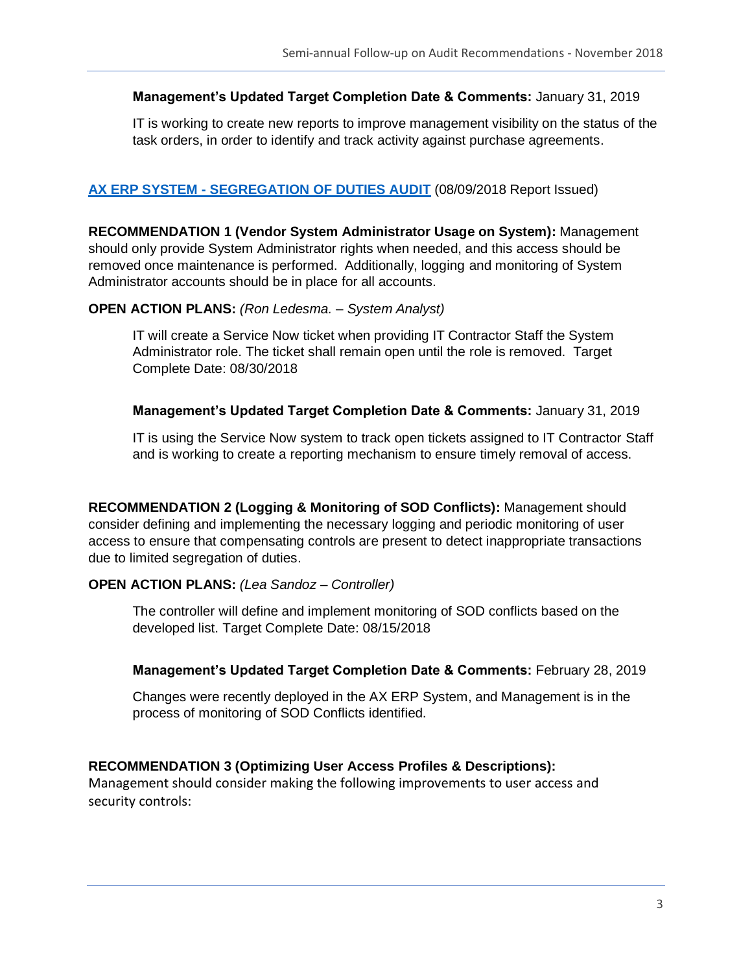#### **Management's Updated Target Completion Date & Comments:** January 31, 2019

IT is working to create new reports to improve management visibility on the status of the task orders, in order to identify and track activity against purchase agreements.

#### **AX ERP SYSTEM - [SEGREGATION OF DUTIES AUDIT](https://www.capmetro.org/uploadedFiles/New2016/About_Capital_Metro/Financial_Transparency/Audit_Documents/Fiscal_Year_2018_Internal_Audits/18-05_AX_ERP_System-Segregation_of_Duties_Audit-8-9-18(1).pdf)** (08/09/2018 Report Issued)

**RECOMMENDATION 1 (Vendor System Administrator Usage on System):** Management should only provide System Administrator rights when needed, and this access should be removed once maintenance is performed. Additionally, logging and monitoring of System Administrator accounts should be in place for all accounts.

#### **OPEN ACTION PLANS:** *(Ron Ledesma. – System Analyst)*

IT will create a Service Now ticket when providing IT Contractor Staff the System Administrator role. The ticket shall remain open until the role is removed. Target Complete Date: 08/30/2018

#### **Management's Updated Target Completion Date & Comments:** January 31, 2019

IT is using the Service Now system to track open tickets assigned to IT Contractor Staff and is working to create a reporting mechanism to ensure timely removal of access.

**RECOMMENDATION 2 (Logging & Monitoring of SOD Conflicts):** Management should consider defining and implementing the necessary logging and periodic monitoring of user access to ensure that compensating controls are present to detect inappropriate transactions due to limited segregation of duties.

#### **OPEN ACTION PLANS:** *(Lea Sandoz – Controller)*

The controller will define and implement monitoring of SOD conflicts based on the developed list. Target Complete Date: 08/15/2018

#### **Management's Updated Target Completion Date & Comments:** February 28, 2019

Changes were recently deployed in the AX ERP System, and Management is in the process of monitoring of SOD Conflicts identified.

#### **RECOMMENDATION 3 (Optimizing User Access Profiles & Descriptions):**

Management should consider making the following improvements to user access and security controls: